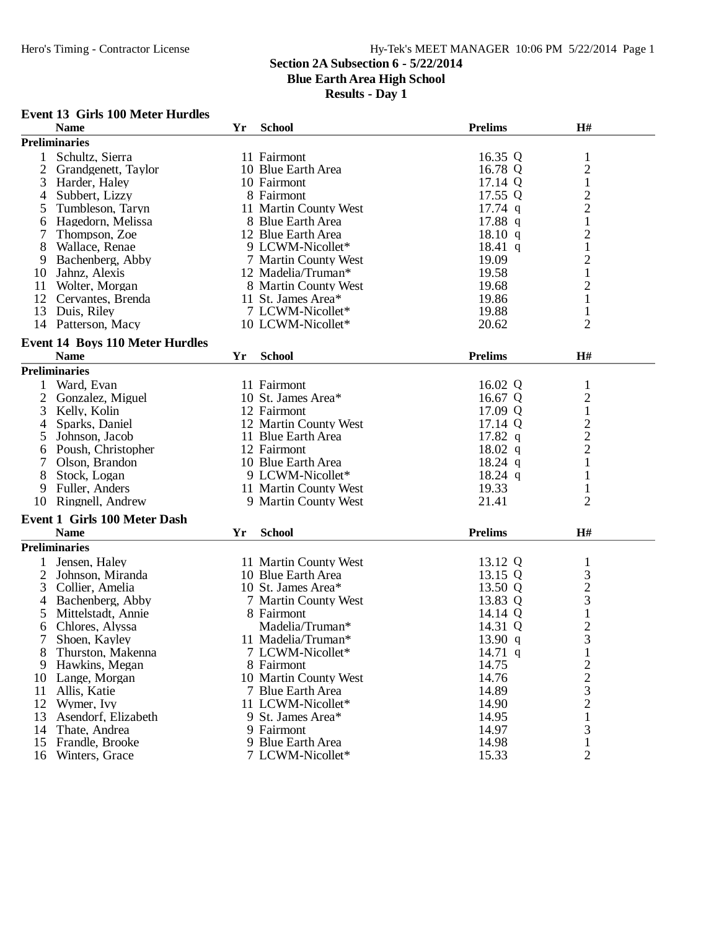## **Section 2A Subsection 6 - 5/22/2014**

**Blue Earth Area High School**

**Results - Day 1**

#### **Event 13 Girls 100 Meter Hurdles**

|                | <b>Name</b>                            | Yr | <b>School</b>         | <b>Prelims</b> | H#                                           |  |
|----------------|----------------------------------------|----|-----------------------|----------------|----------------------------------------------|--|
|                | <b>Preliminaries</b>                   |    |                       |                |                                              |  |
| 1              | Schultz, Sierra                        |    | 11 Fairmont           | 16.35 Q        | $\mathbf{1}$                                 |  |
| $\overline{2}$ | Grandgenett, Taylor                    |    | 10 Blue Earth Area    | 16.78 Q        |                                              |  |
| 3              | Harder, Haley                          |    | 10 Fairmont           | 17.14 Q        | $\begin{smallmatrix} 2\\1 \end{smallmatrix}$ |  |
| 4              | Subbert, Lizzy                         |    | 8 Fairmont            | 17.55 Q        |                                              |  |
| 5              | Tumbleson, Taryn                       |    | 11 Martin County West | $17.74$ q      |                                              |  |
| 6              | Hagedorn, Melissa                      |    | 8 Blue Earth Area     | $17.88$ q      | $\begin{array}{c} 2 \\ 2 \\ 1 \end{array}$   |  |
| 7              | Thompson, Zoe                          |    | 12 Blue Earth Area    | 18.10 q        |                                              |  |
| 8              | Wallace, Renae                         |    | 9 LCWM-Nicollet*      | $18.41\ q$     | $\frac{2}{1}$                                |  |
| 9              | Bachenberg, Abby                       |    | 7 Martin County West  | 19.09          | $\overline{c}$                               |  |
| 10             | Jahnz, Alexis                          |    | 12 Madelia/Truman*    | 19.58          | $\mathbf{1}$                                 |  |
| 11             | Wolter, Morgan                         |    | 8 Martin County West  | 19.68          | $\overline{c}$                               |  |
| 12             | Cervantes, Brenda                      |    | 11 St. James Area*    | 19.86          | $\,1\,$                                      |  |
| 13             | Duis, Riley                            |    | 7 LCWM-Nicollet*      | 19.88          | $\mathbf{1}$                                 |  |
|                |                                        |    | 10 LCWM-Nicollet*     | 20.62          | $\overline{2}$                               |  |
|                | 14 Patterson, Macy                     |    |                       |                |                                              |  |
|                | <b>Event 14 Boys 110 Meter Hurdles</b> |    |                       |                |                                              |  |
|                | <b>Name</b>                            | Yr | <b>School</b>         | <b>Prelims</b> | H#                                           |  |
|                | <b>Preliminaries</b>                   |    |                       |                |                                              |  |
|                | Ward, Evan                             |    | 11 Fairmont           | 16.02 Q        | $\mathbf{1}$                                 |  |
| $\overline{2}$ | Gonzalez, Miguel                       |    | 10 St. James Area*    | 16.67 Q        |                                              |  |
| 3              | Kelly, Kolin                           |    | 12 Fairmont           | 17.09 Q        |                                              |  |
| 4              | Sparks, Daniel                         |    | 12 Martin County West | 17.14 Q        |                                              |  |
| 5              | Johnson, Jacob                         |    | 11 Blue Earth Area    | 17.82 $q$      |                                              |  |
| 6              | Poush, Christopher                     |    | 12 Fairmont           | $18.02$ q      | $\frac{2}{1}$ $\frac{1}{2}$ $\frac{2}{2}$    |  |
| 7              | Olson, Brandon                         |    | 10 Blue Earth Area    | $18.24$ q      | $\mathbf{1}$                                 |  |
| 8              | Stock, Logan                           |    | 9 LCWM-Nicollet*      | $18.24$ q      | $\mathbf{1}$                                 |  |
| 9              | Fuller, Anders                         |    | 11 Martin County West | 19.33          | $\mathbf{1}$                                 |  |
| 10             | Ringnell, Andrew                       |    | 9 Martin County West  | 21.41          | $\overline{2}$                               |  |
|                |                                        |    |                       |                |                                              |  |
|                | Event 1 Girls 100 Meter Dash           |    |                       |                |                                              |  |
|                | <b>Name</b>                            | Yr | <b>School</b>         | <b>Prelims</b> | H#                                           |  |
|                | <b>Preliminaries</b>                   |    |                       |                |                                              |  |
|                | Jensen, Haley                          |    | 11 Martin County West | 13.12 Q        | $\mathbf{1}$                                 |  |
| 2              | Johnson, Miranda                       |    | 10 Blue Earth Area    | 13.15 Q        |                                              |  |
| 3              | Collier, Amelia                        |    | 10 St. James Area*    | 13.50 Q        |                                              |  |
| 4              | Bachenberg, Abby                       |    | 7 Martin County West  | 13.83 Q        | $\begin{array}{c} 3 \\ 2 \\ 3 \end{array}$   |  |
| 5              | Mittelstadt, Annie                     |    | 8 Fairmont            | 14.14 Q        | $\,1\,$                                      |  |
| 6              | Chlores, Alyssa                        |    | Madelia/Truman*       | 14.31 Q        |                                              |  |
| 7              | Shoen, Kayley                          |    | 11 Madelia/Truman*    | 13.90 $q$      | $rac{2}{3}$                                  |  |
| 8              | Thurston, Makenna                      |    | 7 LCWM-Nicollet*      | 14.71 q        | 1                                            |  |
| 9              | Hawkins, Megan                         |    | 8 Fairmont            | 14.75          | $\overline{c}$                               |  |
| 10             | Lange, Morgan                          |    | 10 Martin County West | 14.76          | $\overline{c}$                               |  |
| 11             | Allis, Katie                           |    | 7 Blue Earth Area     | 14.89          | 3                                            |  |
| 12             | Wymer, Ivy                             |    | 11 LCWM-Nicollet*     | 14.90          | $\overline{c}$                               |  |
| 13             | Asendorf, Elizabeth                    |    | 9 St. James Area*     | 14.95          | 1                                            |  |
| 14             | Thate, Andrea                          |    | 9 Fairmont            | 14.97          | 3                                            |  |
| 15             | Frandle, Brooke                        |    | 9 Blue Earth Area     | 14.98          | $\mathbf{1}$                                 |  |
| 16             | Winters, Grace                         |    | 7 LCWM-Nicollet*      | 15.33          | $\overline{2}$                               |  |
|                |                                        |    |                       |                |                                              |  |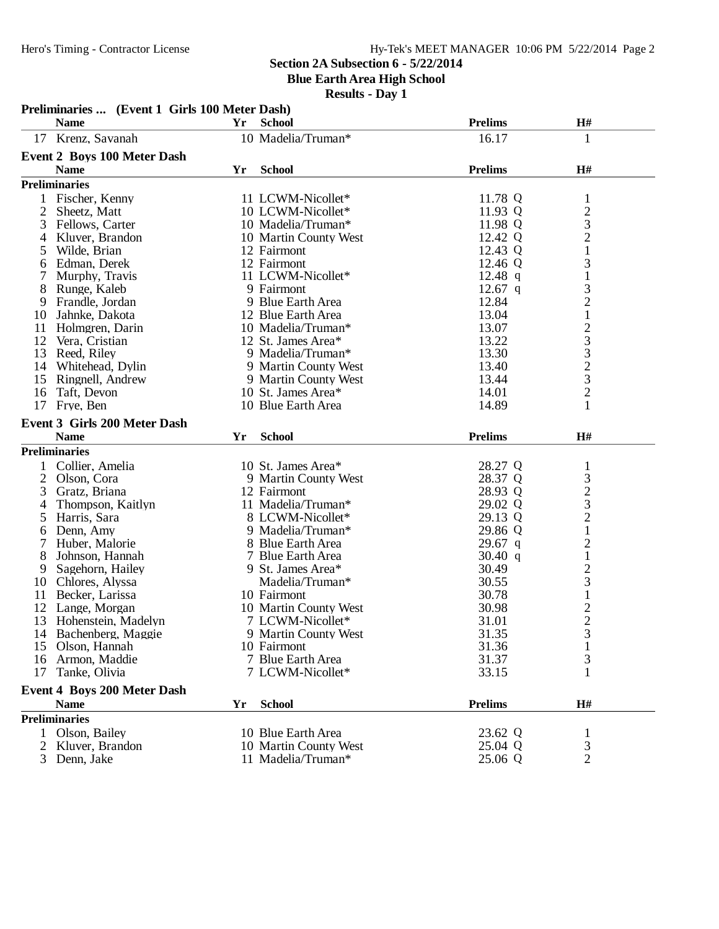**Blue Earth Area High School**

|                | Preliminaries  (Event 1 Girls 100 Meter Dash)     |    |                                           |                |                                                      |  |
|----------------|---------------------------------------------------|----|-------------------------------------------|----------------|------------------------------------------------------|--|
|                | <b>Name</b>                                       | Yr | <b>School</b>                             | <b>Prelims</b> | H#                                                   |  |
| 17             | Krenz, Savanah                                    |    | 10 Madelia/Truman*                        | 16.17          | 1                                                    |  |
|                | <b>Event 2 Boys 100 Meter Dash</b>                |    |                                           |                |                                                      |  |
|                | <b>Name</b>                                       | Yr | <b>School</b>                             | <b>Prelims</b> | H#                                                   |  |
|                | <b>Preliminaries</b>                              |    |                                           |                |                                                      |  |
|                | 1 Fischer, Kenny                                  |    | 11 LCWM-Nicollet*                         | 11.78 Q        | $\mathbf{1}$                                         |  |
| 2              | Sheetz, Matt                                      |    | 10 LCWM-Nicollet*                         | 11.93 Q        |                                                      |  |
| 3              | Fellows, Carter                                   |    | 10 Madelia/Truman*                        | 11.98 Q        |                                                      |  |
| 4              | Kluver, Brandon                                   |    | 10 Martin County West                     | 12.42 Q        | $\frac{2}{3}$                                        |  |
| 5              | Wilde, Brian                                      |    | 12 Fairmont                               | 12.43 Q        | $\mathbf{1}$                                         |  |
| 6              | Edman, Derek                                      |    | 12 Fairmont                               | 12.46 Q        | 3                                                    |  |
| 7              | Murphy, Travis                                    |    | 11 LCWM-Nicollet*                         | 12.48 $q$      | $\mathbf 1$                                          |  |
| 8              | Runge, Kaleb                                      |    | 9 Fairmont                                | $12.67$ q      |                                                      |  |
| 9              | Frandle, Jordan                                   |    | 9 Blue Earth Area                         | 12.84          | $\frac{3}{2}$                                        |  |
| 10             | Jahnke, Dakota                                    |    | 12 Blue Earth Area                        | 13.04          | $\,1$                                                |  |
| 11             | Holmgren, Darin                                   |    | 10 Madelia/Truman*                        | 13.07          |                                                      |  |
| 12             | Vera, Cristian                                    |    | 12 St. James Area*                        | 13.22          |                                                      |  |
|                | 13 Reed, Riley                                    |    | 9 Madelia/Truman*                         | 13.30          |                                                      |  |
|                | 14 Whitehead, Dylin                               |    | 9 Martin County West                      | 13.40          | $23323$<br>$232$                                     |  |
| 15             | Ringnell, Andrew                                  |    | 9 Martin County West                      | 13.44          |                                                      |  |
| 16             | Taft, Devon                                       |    | 10 St. James Area*                        | 14.01          |                                                      |  |
| 17             | Frye, Ben                                         |    | 10 Blue Earth Area                        | 14.89          | 1                                                    |  |
|                | <b>Event 3 Girls 200 Meter Dash</b>               |    |                                           |                |                                                      |  |
|                | <b>Name</b>                                       | Yr | <b>School</b>                             | <b>Prelims</b> | $\mathbf{H}$ #                                       |  |
|                | <b>Preliminaries</b>                              |    |                                           |                |                                                      |  |
|                |                                                   |    |                                           |                |                                                      |  |
|                | 1 Collier, Amelia                                 |    | 10 St. James Area*                        | 28.27 Q        | $\mathbf{1}$                                         |  |
| $\overline{2}$ | Olson, Cora                                       |    | 9 Martin County West                      | 28.37 Q        |                                                      |  |
| 3              | Gratz, Briana                                     |    | 12 Fairmont                               | 28.93 Q        | $\begin{array}{c} 3 \\ 2 \\ 3 \\ 2 \\ 1 \end{array}$ |  |
| 4              | Thompson, Kaitlyn                                 |    | 11 Madelia/Truman*                        | 29.02 Q        |                                                      |  |
| 5              | Harris, Sara                                      |    | 8 LCWM-Nicollet*                          | 29.13 Q        |                                                      |  |
| 6              | Denn, Amy                                         |    | 9 Madelia/Truman*                         | 29.86 Q        |                                                      |  |
| 7              | Huber, Malorie                                    |    | 8 Blue Earth Area                         | $29.67$ q      | $\frac{2}{1}$                                        |  |
| 8              | Johnson, Hannah                                   |    | 7 Blue Earth Area                         | 30.40 q        |                                                      |  |
| 9              | Sagehorn, Hailey                                  |    | 9 St. James Area*<br>Madelia/Truman*      | 30.49          | $\frac{2}{3}$                                        |  |
| 10             | Chlores, Alyssa                                   |    |                                           | 30.55          | $\mathbf{1}$                                         |  |
| 11<br>12       | Becker, Larissa                                   |    | 10 Fairmont                               | 30.78<br>30.98 |                                                      |  |
| 13             | Lange, Morgan<br>Hohenstein, Madelyn              |    | 10 Martin County West<br>7 LCWM-Nicollet* | 31.01          | $\frac{2}{2}$                                        |  |
|                | 14 Bachenberg, Maggie                             |    | 9 Martin County West                      | 31.35          |                                                      |  |
|                | 15 Olson, Hannah                                  |    | 10 Fairmont                               | 31.36          | 3                                                    |  |
|                | 16 Armon, Maddie                                  |    | 7 Blue Earth Area                         | 31.37          | 3                                                    |  |
|                | Tanke, Olivia                                     |    | 7 LCWM-Nicollet*                          | 33.15          | 1                                                    |  |
| 17             |                                                   |    |                                           |                |                                                      |  |
|                | <b>Event 4 Boys 200 Meter Dash</b><br><b>Name</b> | Yr | <b>School</b>                             | <b>Prelims</b> | H#                                                   |  |
|                |                                                   |    |                                           |                |                                                      |  |
|                | <b>Preliminaries</b>                              |    |                                           |                |                                                      |  |
|                | 1 Olson, Bailey                                   |    | 10 Blue Earth Area                        | 23.62 Q        | 1                                                    |  |
| 2              | Kluver, Brandon                                   |    | 10 Martin County West                     | 25.04 Q        | 3                                                    |  |
| 3              | Denn, Jake                                        |    | 11 Madelia/Truman*                        | 25.06 Q        | $\overline{2}$                                       |  |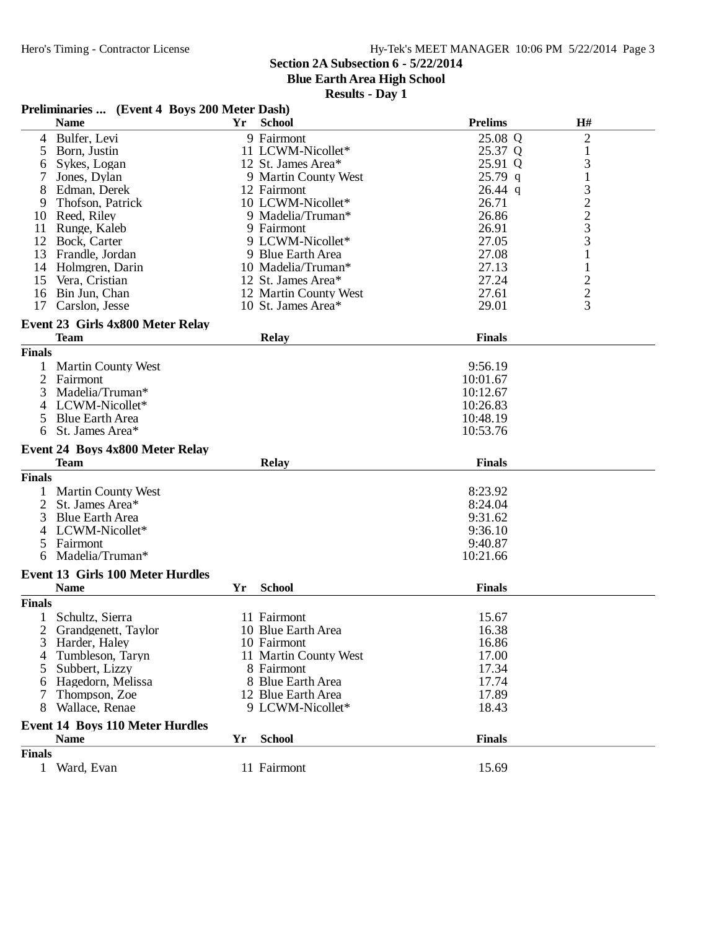**Blue Earth Area High School**

|                | Preliminaries  (Event 4 Boys 200 Meter Dash) |     |                       |                |                                                 |
|----------------|----------------------------------------------|-----|-----------------------|----------------|-------------------------------------------------|
|                | <b>Name</b>                                  | Yr. | <b>School</b>         | <b>Prelims</b> | H#                                              |
| 4              | Bulfer, Levi                                 |     | 9 Fairmont            | 25.08 Q        | $\overline{2}$                                  |
| 5              | Born, Justin                                 |     | 11 LCWM-Nicollet*     | 25.37 Q        | 1                                               |
| 6              | Sykes, Logan                                 |     | 12 St. James Area*    | 25.91 Q        | 3                                               |
|                | Jones, Dylan                                 |     | 9 Martin County West  | $25.79$ q      | $\mathbf{1}$                                    |
| 8              | Edman, Derek                                 |     | 12 Fairmont           | $26.44$ q      | 3                                               |
| 9              | Thofson, Patrick                             |     | 10 LCWM-Nicollet*     | 26.71          |                                                 |
| 10             | Reed, Riley                                  |     | 9 Madelia/Truman*     | 26.86          | $\begin{array}{c} 2 \\ 2 \\ 3 \\ 3 \end{array}$ |
| 11             | Runge, Kaleb                                 |     | 9 Fairmont            | 26.91          |                                                 |
| 12             | Bock, Carter                                 |     | 9 LCWM-Nicollet*      | 27.05          |                                                 |
| 13             | Frandle, Jordan                              |     | 9 Blue Earth Area     | 27.08          | $\mathbf{1}$                                    |
| 14             | Holmgren, Darin                              |     | 10 Madelia/Truman*    | 27.13          | $\mathbf{1}$                                    |
| 15             | Vera, Cristian                               |     | 12 St. James Area*    | 27.24          | $\overline{\mathbf{c}}$                         |
| 16             | Bin Jun, Chan                                |     | 12 Martin County West | 27.61          | $\frac{2}{3}$                                   |
| 17             | Carslon, Jesse                               |     | 10 St. James Area*    | 29.01          |                                                 |
|                | Event 23 Girls 4x800 Meter Relay             |     |                       |                |                                                 |
|                | <b>Team</b>                                  |     | <b>Relay</b>          | <b>Finals</b>  |                                                 |
| <b>Finals</b>  |                                              |     |                       |                |                                                 |
|                | <b>Martin County West</b>                    |     |                       | 9:56.19        |                                                 |
| 2              | Fairmont                                     |     |                       | 10:01.67       |                                                 |
| 3              | Madelia/Truman*                              |     |                       | 10:12.67       |                                                 |
| 4              | LCWM-Nicollet*                               |     |                       | 10:26.83       |                                                 |
| 5              | <b>Blue Earth Area</b>                       |     |                       | 10:48.19       |                                                 |
| 6              | St. James Area*                              |     |                       | 10:53.76       |                                                 |
|                | Event 24 Boys 4x800 Meter Relay              |     |                       |                |                                                 |
|                | <b>Team</b>                                  |     | <b>Relay</b>          | <b>Finals</b>  |                                                 |
| <b>Finals</b>  |                                              |     |                       |                |                                                 |
|                | <b>Martin County West</b>                    |     |                       | 8:23.92        |                                                 |
| 2              | St. James Area*                              |     |                       | 8:24.04        |                                                 |
| 3              | <b>Blue Earth Area</b>                       |     |                       | 9:31.62        |                                                 |
| 4              | LCWM-Nicollet*                               |     |                       | 9:36.10        |                                                 |
| 5              | Fairmont                                     |     |                       | 9:40.87        |                                                 |
| 6              | Madelia/Truman*                              |     |                       | 10:21.66       |                                                 |
|                | <b>Event 13 Girls 100 Meter Hurdles</b>      |     |                       |                |                                                 |
|                | <b>Name</b>                                  | Yr  | <b>School</b>         | <b>Finals</b>  |                                                 |
| <b>Finals</b>  |                                              |     |                       |                |                                                 |
| $\mathbf{1}$   | Schultz, Sierra                              |     | 11 Fairmont           | 15.67          |                                                 |
| $\overline{c}$ | Grandgenett, Taylor                          |     | 10 Blue Earth Area    | 16.38          |                                                 |
| 3              | Harder, Haley                                |     | 10 Fairmont           | 16.86          |                                                 |
| 4              | Tumbleson, Taryn                             |     | 11 Martin County West | 17.00          |                                                 |
| 5              | Subbert, Lizzy                               |     | 8 Fairmont            | 17.34          |                                                 |
| 6              | Hagedorn, Melissa                            |     | 8 Blue Earth Area     | 17.74          |                                                 |
| 7              | Thompson, Zoe                                |     | 12 Blue Earth Area    | 17.89          |                                                 |
| 8              | Wallace, Renae                               |     | 9 LCWM-Nicollet*      | 18.43          |                                                 |
|                |                                              |     |                       |                |                                                 |
|                | <b>Event 14 Boys 110 Meter Hurdles</b>       |     |                       |                |                                                 |
|                | <b>Name</b>                                  | Yr  | <b>School</b>         | <b>Finals</b>  |                                                 |
| <b>Finals</b>  |                                              |     |                       |                |                                                 |
| 1              | Ward, Evan                                   |     | 11 Fairmont           | 15.69          |                                                 |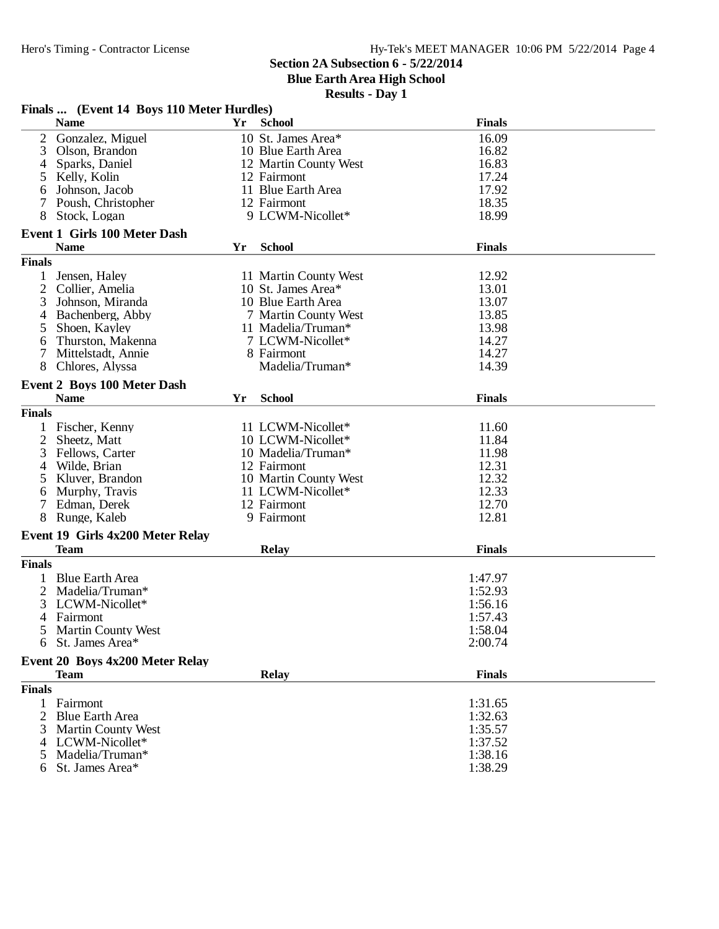**Blue Earth Area High School**

|                | Finals  (Event 14 Boys 110 Meter Hurdles)     |    |                       |                    |
|----------------|-----------------------------------------------|----|-----------------------|--------------------|
|                | <b>Name</b>                                   | Yr | <b>School</b>         | <b>Finals</b>      |
| 2              | Gonzalez, Miguel                              |    | 10 St. James Area*    | 16.09              |
| 3              | Olson, Brandon                                |    | 10 Blue Earth Area    | 16.82              |
| 4              | Sparks, Daniel                                |    | 12 Martin County West | 16.83              |
| 5              | Kelly, Kolin                                  |    | 12 Fairmont           | 17.24              |
| 6              | Johnson, Jacob                                |    | 11 Blue Earth Area    | 17.92              |
| 7              | Poush, Christopher                            |    | 12 Fairmont           | 18.35              |
| 8              | Stock, Logan                                  |    | 9 LCWM-Nicollet*      | 18.99              |
|                | <b>Event 1 Girls 100 Meter Dash</b>           |    |                       |                    |
|                | <b>Name</b>                                   | Yr | <b>School</b>         | <b>Finals</b>      |
| <b>Finals</b>  |                                               |    |                       |                    |
| 1              | Jensen, Haley                                 |    | 11 Martin County West | 12.92              |
| $\overline{2}$ | Collier, Amelia                               |    | 10 St. James Area*    | 13.01              |
| 3              | Johnson, Miranda                              |    | 10 Blue Earth Area    | 13.07              |
| 4              | Bachenberg, Abby                              |    | 7 Martin County West  | 13.85              |
| 5              | Shoen, Kayley                                 |    | 11 Madelia/Truman*    | 13.98              |
| 6              | Thurston, Makenna                             |    | 7 LCWM-Nicollet*      | 14.27              |
| 7              | Mittelstadt, Annie                            |    | 8 Fairmont            | 14.27              |
| 8              | Chlores, Alyssa                               |    | Madelia/Truman*       | 14.39              |
|                | <b>Event 2 Boys 100 Meter Dash</b>            |    |                       |                    |
|                | <b>Name</b>                                   | Yr | <b>School</b>         | <b>Finals</b>      |
|                |                                               |    |                       |                    |
| <b>Finals</b>  |                                               |    |                       |                    |
|                | Fischer, Kenny                                |    | 11 LCWM-Nicollet*     | 11.60              |
| 2              | Sheetz, Matt                                  |    | 10 LCWM-Nicollet*     | 11.84              |
| 3              | Fellows, Carter                               |    | 10 Madelia/Truman*    | 11.98              |
| 4              | Wilde, Brian                                  |    | 12 Fairmont           | 12.31              |
| 5              | Kluver, Brandon                               |    | 10 Martin County West | 12.32              |
| 6              | Murphy, Travis                                |    | 11 LCWM-Nicollet*     | 12.33              |
|                | Edman, Derek                                  |    | 12 Fairmont           | 12.70              |
| 8              | Runge, Kaleb                                  |    | 9 Fairmont            | 12.81              |
|                | Event 19 Girls 4x200 Meter Relay              |    |                       |                    |
|                | <b>Team</b>                                   |    | <b>Relay</b>          | <b>Finals</b>      |
| <b>Finals</b>  |                                               |    |                       |                    |
| 1              | <b>Blue Earth Area</b>                        |    |                       | 1:47.97            |
| 2              | Madelia/Truman*                               |    |                       | 1:52.93            |
| 3              | LCWM-Nicollet*                                |    |                       | 1:56.16            |
| 4              | Fairmont                                      |    |                       | 1:57.43            |
|                | Martin County West                            |    |                       | 1:58.04            |
| 6              | St. James Area*                               |    |                       | 2:00.74            |
|                | Event 20 Boys 4x200 Meter Relay               |    |                       |                    |
|                | <b>Team</b>                                   |    | <b>Relay</b>          | <b>Finals</b>      |
| <b>Finals</b>  |                                               |    |                       |                    |
|                | Fairmont                                      |    |                       |                    |
| $\mathbf{1}$   |                                               |    |                       | 1:31.65<br>1:32.63 |
|                | 2 Blue Earth Area                             |    |                       |                    |
| 3              | <b>Martin County West</b><br>4 LCWM-Nicollet* |    |                       | 1:35.57<br>1:37.52 |
|                | Madelia/Truman*                               |    |                       | 1:38.16            |
| 5              | St. James Area*                               |    |                       | 1:38.29            |
| 6              |                                               |    |                       |                    |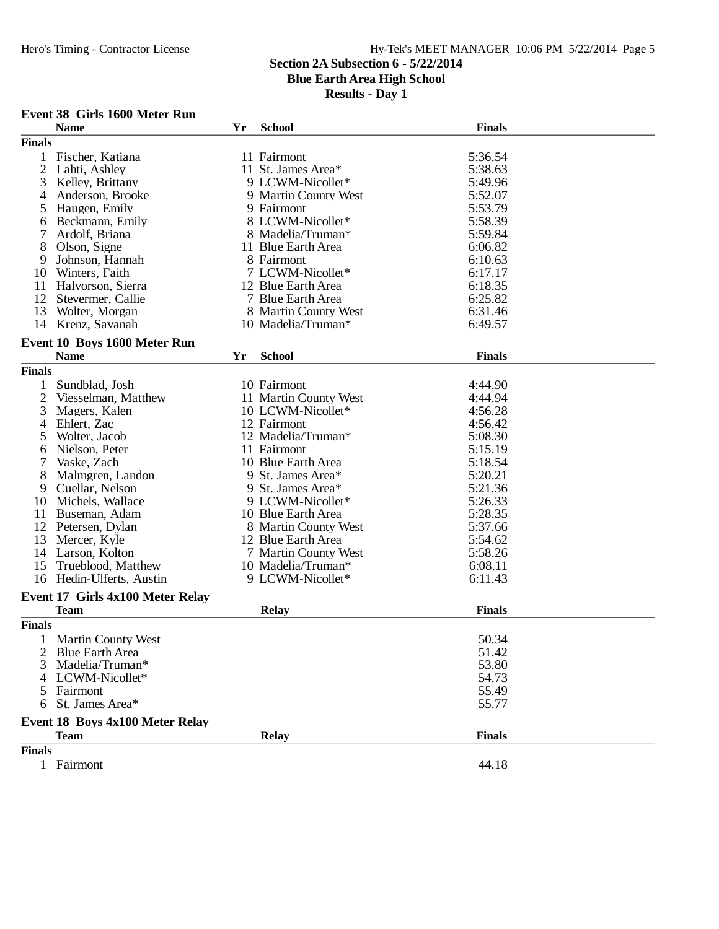## **Section 2A Subsection 6 - 5/22/2014**

**Blue Earth Area High School**

**Results - Day 1**

#### **Event 38 Girls 1600 Meter Run**

|                | <b>Name</b>                      | Yr | <b>School</b>         | <b>Finals</b> |
|----------------|----------------------------------|----|-----------------------|---------------|
| <b>Finals</b>  |                                  |    |                       |               |
| 1              | Fischer, Katiana                 |    | 11 Fairmont           | 5:36.54       |
| $\overline{2}$ | Lahti, Ashley                    |    | 11 St. James Area*    | 5:38.63       |
| 3              | Kelley, Brittany                 |    | 9 LCWM-Nicollet*      | 5:49.96       |
| 4              | Anderson, Brooke                 |    | 9 Martin County West  | 5:52.07       |
| 5              | Haugen, Emily                    |    | 9 Fairmont            | 5:53.79       |
| 6              | Beckmann, Emily                  |    | 8 LCWM-Nicollet*      | 5:58.39       |
| 7              | Ardolf, Briana                   |    | 8 Madelia/Truman*     | 5:59.84       |
| 8              | Olson, Signe                     |    | 11 Blue Earth Area    | 6:06.82       |
| 9              | Johnson, Hannah                  |    | 8 Fairmont            | 6:10.63       |
| 10             | Winters, Faith                   |    | 7 LCWM-Nicollet*      | 6:17.17       |
| 11             | Halvorson, Sierra                |    | 12 Blue Earth Area    | 6:18.35       |
| 12             | Stevermer, Callie                |    | 7 Blue Earth Area     | 6:25.82       |
| 13             | Wolter, Morgan                   |    | 8 Martin County West  | 6:31.46       |
|                | 14 Krenz, Savanah                |    | 10 Madelia/Truman*    | 6:49.57       |
|                |                                  |    |                       |               |
|                | Event 10 Boys 1600 Meter Run     |    |                       |               |
|                | <b>Name</b>                      | Yr | <b>School</b>         | <b>Finals</b> |
| <b>Finals</b>  |                                  |    |                       |               |
|                | Sundblad, Josh                   |    | 10 Fairmont           | 4:44.90       |
| 2              | Viesselman, Matthew              |    | 11 Martin County West | 4:44.94       |
| 3              | Magers, Kalen                    |    | 10 LCWM-Nicollet*     | 4:56.28       |
| 4              | Ehlert, Zac                      |    | 12 Fairmont           | 4:56.42       |
| 5              | Wolter, Jacob                    |    | 12 Madelia/Truman*    | 5:08.30       |
| 6              | Nielson, Peter                   |    | 11 Fairmont           | 5:15.19       |
| 7              | Vaske, Zach                      |    | 10 Blue Earth Area    | 5:18.54       |
| 8              | Malmgren, Landon                 |    | 9 St. James Area*     | 5:20.21       |
| 9              | Cuellar, Nelson                  |    | 9 St. James Area*     | 5:21.36       |
| 10             | Michels, Wallace                 |    | 9 LCWM-Nicollet*      | 5:26.33       |
| 11             | Buseman, Adam                    |    | 10 Blue Earth Area    | 5:28.35       |
| 12             | Petersen, Dylan                  |    | 8 Martin County West  | 5:37.66       |
| 13             | Mercer, Kyle                     |    | 12 Blue Earth Area    | 5:54.62       |
| 14             | Larson, Kolton                   |    | 7 Martin County West  | 5:58.26       |
| 15             | Trueblood, Matthew               |    | 10 Madelia/Truman*    | 6:08.11       |
|                | 16 Hedin-Ulferts, Austin         |    | 9 LCWM-Nicollet*      | 6:11.43       |
|                |                                  |    |                       |               |
|                | Event 17 Girls 4x100 Meter Relay |    |                       |               |
|                | <b>Team</b>                      |    | <b>Relay</b>          | <b>Finals</b> |
| <b>Finals</b>  |                                  |    |                       |               |
|                | 1 Martin County West             |    |                       | 50.34         |
|                | <b>Blue Earth Area</b>           |    |                       | 51.42         |
| 3              | Madelia/Truman*                  |    |                       | 53.80         |
| 4              | LCWM-Nicollet*                   |    |                       | 54.73         |
| 5.             | Fairmont                         |    |                       | 55.49         |
| 6              | St. James Area*                  |    |                       | 55.77         |
|                |                                  |    |                       |               |
|                | Event 18 Boys 4x100 Meter Relay  |    |                       |               |
|                | <b>Team</b>                      |    | <b>Relay</b>          | <b>Finals</b> |
| <b>Finals</b>  |                                  |    |                       |               |
|                | Fairmont                         |    |                       | 44.18         |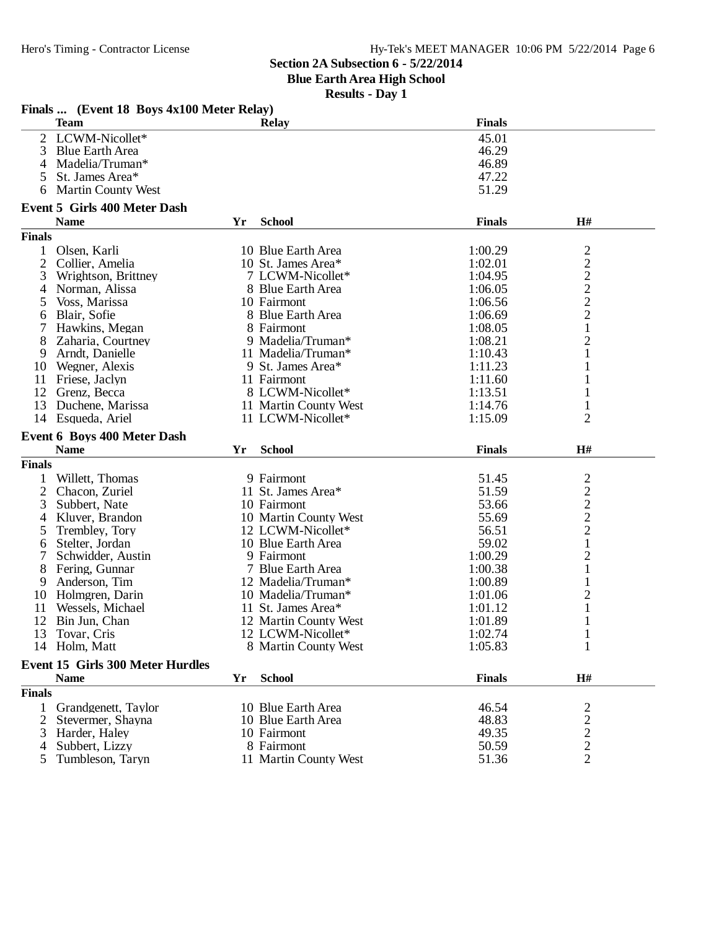**Blue Earth Area High School**

**Results - Day 1**

|                | THREE WE THE VEHICLE TO DUYS TATUU MEEL INCRESS<br><b>Team</b> |    | <b>Relay</b>                        | <b>Finals</b>  |                                                   |
|----------------|----------------------------------------------------------------|----|-------------------------------------|----------------|---------------------------------------------------|
|                | 2 LCWM-Nicollet*                                               |    |                                     | 45.01          |                                                   |
| 3              | <b>Blue Earth Area</b>                                         |    |                                     | 46.29          |                                                   |
| 4              | Madelia/Truman*                                                |    |                                     | 46.89          |                                                   |
| 5              | St. James Area*                                                |    |                                     | 47.22          |                                                   |
| 6              | <b>Martin County West</b>                                      |    |                                     | 51.29          |                                                   |
|                | <b>Event 5 Girls 400 Meter Dash</b>                            |    |                                     |                |                                                   |
|                | <b>Name</b>                                                    | Yr | <b>School</b>                       | <b>Finals</b>  | H#                                                |
| <b>Finals</b>  |                                                                |    |                                     |                |                                                   |
| $\mathbf{1}$   | Olsen, Karli                                                   |    | 10 Blue Earth Area                  | 1:00.29        |                                                   |
| $\overline{2}$ | Collier, Amelia                                                |    | 10 St. James Area*                  | 1:02.01        |                                                   |
| 3              | Wrightson, Brittney                                            |    | 7 LCWM-Nicollet*                    | 1:04.95        | $\frac{2}{2}$ $\frac{2}{2}$ $\frac{2}{2}$         |
| 4              | Norman, Alissa                                                 |    | 8 Blue Earth Area                   | 1:06.05        |                                                   |
| 5              | Voss, Marissa                                                  |    | 10 Fairmont                         | 1:06.56        |                                                   |
| 6              | Blair, Sofie                                                   |    | 8 Blue Earth Area                   | 1:06.69        |                                                   |
| 7              | Hawkins, Megan                                                 |    | 8 Fairmont                          | 1:08.05        | $\mathbf{1}$                                      |
| 8              | Zaharia, Courtney                                              |    | 9 Madelia/Truman*                   | 1:08.21        | $\overline{\mathbf{c}}$                           |
| 9              | Arndt, Danielle                                                |    | 11 Madelia/Truman*                  | 1:10.43        | 1                                                 |
|                | 10 Wegner, Alexis                                              |    | 9 St. James Area*                   | 1:11.23        | 1                                                 |
| 11             | Friese, Jaclyn                                                 |    | 11 Fairmont                         | 1:11.60        |                                                   |
|                | 12 Grenz, Becca                                                |    | 8 LCWM-Nicollet*                    | 1:13.51        | 1                                                 |
| 13             | Duchene, Marissa                                               |    | 11 Martin County West               | 1:14.76        | 1                                                 |
|                | 14 Esqueda, Ariel                                              |    | 11 LCWM-Nicollet*                   | 1:15.09        | $\overline{2}$                                    |
|                |                                                                |    |                                     |                |                                                   |
|                | <b>Event 6 Boys 400 Meter Dash</b>                             |    |                                     |                |                                                   |
|                |                                                                |    |                                     |                |                                                   |
|                | <b>Name</b>                                                    | Yr | <b>School</b>                       | <b>Finals</b>  | $\mathbf{H}^{\#}$                                 |
| <b>Finals</b>  |                                                                |    |                                     |                |                                                   |
|                | Willett, Thomas                                                |    | 9 Fairmont                          | 51.45          |                                                   |
|                | 2 Chacon, Zuriel                                               |    | 11 St. James Area*                  | 51.59          |                                                   |
| 3              | Subbert, Nate                                                  |    | 10 Fairmont                         | 53.66          |                                                   |
| 4              | Kluver, Brandon                                                |    | 10 Martin County West               | 55.69          |                                                   |
| 5              | Trembley, Tory                                                 |    | 12 LCWM-Nicollet*                   | 56.51          | $\frac{2}{2}$<br>$\frac{2}{2}$                    |
| 6              | Stelter, Jordan                                                |    | 10 Blue Earth Area                  | 59.02          | $\mathbf{1}$                                      |
| 7              | Schwidder, Austin                                              |    | 9 Fairmont                          | 1:00.29        | $\overline{c}$                                    |
| 8              | Fering, Gunnar                                                 |    | 7 Blue Earth Area                   | 1:00.38        | $\mathbf{1}$                                      |
| 9              | Anderson, Tim                                                  |    | 12 Madelia/Truman*                  | 1:00.89        | 1                                                 |
|                | 10 Holmgren, Darin                                             |    | 10 Madelia/Truman*                  | 1:01.06        | $\overline{\mathbf{c}}$                           |
| 11             | Wessels, Michael                                               |    | 11 St. James Area*                  | 1:01.12        |                                                   |
| 12             | Bin Jun, Chan                                                  |    | 12 Martin County West               | 1:01.89        |                                                   |
| 13             | Tovar, Cris                                                    |    | 12 LCWM-Nicollet*                   | 1:02.74        | 1                                                 |
|                | 14 Holm, Matt                                                  |    | 8 Martin County West                | 1:05.83        | $\mathbf{1}$                                      |
|                | <b>Event 15 Girls 300 Meter Hurdles</b>                        |    |                                     |                |                                                   |
|                | <b>Name</b>                                                    | Yr | <b>School</b>                       | <b>Finals</b>  | H#                                                |
| <b>Finals</b>  |                                                                |    |                                     |                |                                                   |
| $\mathbf{1}$   | Grandgenett, Taylor                                            |    | 10 Blue Earth Area                  | 46.54          |                                                   |
| 2              | Stevermer, Shayna                                              |    | 10 Blue Earth Area                  | 48.83          |                                                   |
| 3              | Harder, Haley                                                  |    | 10 Fairmont                         | 49.35          |                                                   |
|                | Subbert, Lizzy                                                 |    | 8 Fairmont<br>11 Martin County West | 50.59<br>51.36 | $\begin{array}{c}\n2 \\ 2 \\ 2 \\ 2\n\end{array}$ |

# **Finals ... (Event 18 Boys 4x100 Meter Relay)**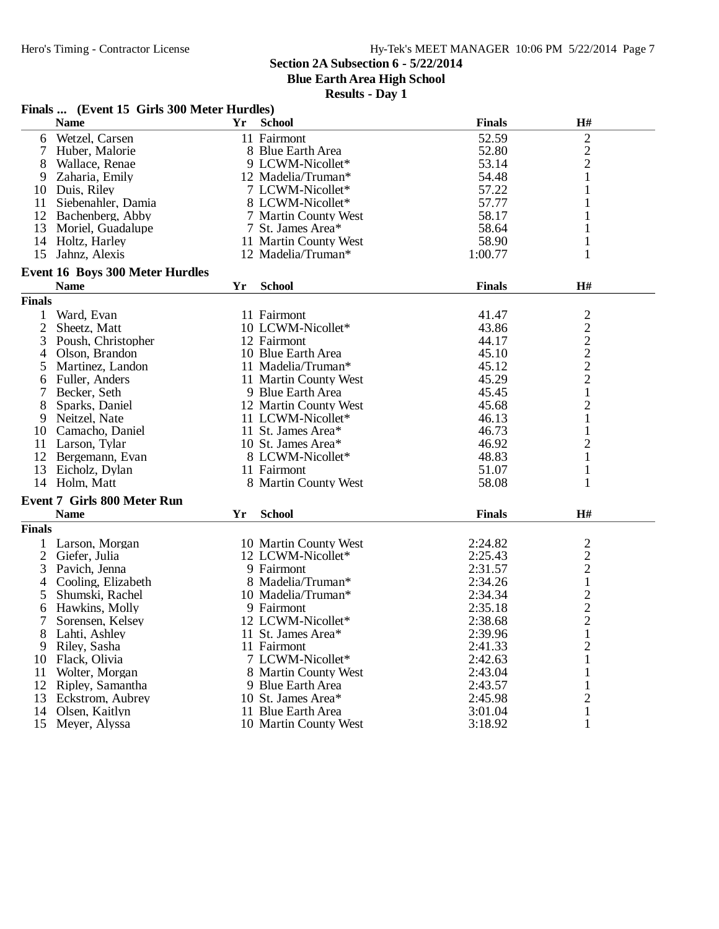**Blue Earth Area High School**

|               | Finals  (Event 15 Girls 300 Meter Hurdles) |    |                       |               |                                            |  |  |
|---------------|--------------------------------------------|----|-----------------------|---------------|--------------------------------------------|--|--|
|               | <b>Name</b>                                | Yr | <b>School</b>         | <b>Finals</b> | H#                                         |  |  |
| 6             | Wetzel, Carsen                             |    | 11 Fairmont           | 52.59         | 2                                          |  |  |
|               | Huber, Malorie                             |    | 8 Blue Earth Area     | 52.80         |                                            |  |  |
| 8             | Wallace, Renae                             |    | 9 LCWM-Nicollet*      | 53.14         | $\frac{2}{2}$                              |  |  |
| 9             | Zaharia, Emily                             |    | 12 Madelia/Truman*    | 54.48         | $\mathbf{1}$                               |  |  |
|               | 10 Duis, Riley                             |    | 7 LCWM-Nicollet*      | 57.22         | 1                                          |  |  |
| 11            | Siebenahler, Damia                         |    | 8 LCWM-Nicollet*      | 57.77         |                                            |  |  |
|               | 12 Bachenberg, Abby                        |    | 7 Martin County West  | 58.17         | 1                                          |  |  |
| 13            | Moriel, Guadalupe                          |    | 7 St. James Area*     | 58.64         | 1                                          |  |  |
|               | 14 Holtz, Harley                           |    | 11 Martin County West | 58.90         | 1                                          |  |  |
| 15            | Jahnz, Alexis                              |    | 12 Madelia/Truman*    | 1:00.77       | 1                                          |  |  |
|               | <b>Event 16 Boys 300 Meter Hurdles</b>     |    |                       |               |                                            |  |  |
|               | <b>Name</b>                                | Yr | <b>School</b>         | <b>Finals</b> | H#                                         |  |  |
| <b>Finals</b> |                                            |    |                       |               |                                            |  |  |
| 1             | Ward, Evan                                 |    | 11 Fairmont           | 41.47         |                                            |  |  |
| 2             | Sheetz, Matt                               |    | 10 LCWM-Nicollet*     | 43.86         | $\begin{array}{c} 2 \\ 2 \\ 2 \end{array}$ |  |  |
| 3             | Poush, Christopher                         |    | 12 Fairmont           | 44.17         |                                            |  |  |
| 4             | Olson, Brandon                             |    | 10 Blue Earth Area    | 45.10         |                                            |  |  |
| 5             | Martinez, Landon                           |    | 11 Madelia/Truman*    | 45.12         | $\overline{c}$                             |  |  |
| 6             | Fuller, Anders                             |    | 11 Martin County West | 45.29         | $\overline{c}$                             |  |  |
| 7             | Becker, Seth                               |    | 9 Blue Earth Area     | 45.45         | $\,1$                                      |  |  |
|               | Sparks, Daniel                             |    | 12 Martin County West | 45.68         | $\overline{c}$                             |  |  |
| 8             |                                            |    | 11 LCWM-Nicollet*     | 46.13         |                                            |  |  |
| 9             | Neitzel, Nate                              |    |                       | 46.73         | $\mathbf{1}$                               |  |  |
|               | 10 Camacho, Daniel                         |    | 11 St. James Area*    |               | $\mathbf{1}$                               |  |  |
|               | 11 Larson, Tylar                           |    | 10 St. James Area*    | 46.92         | 2                                          |  |  |
|               | 12 Bergemann, Evan                         |    | 8 LCWM-Nicollet*      | 48.83         | 1                                          |  |  |
| 13            | Eicholz, Dylan                             |    | 11 Fairmont           | 51.07         | 1                                          |  |  |
|               | 14 Holm, Matt                              |    | 8 Martin County West  | 58.08         | 1                                          |  |  |
|               | <b>Event 7 Girls 800 Meter Run</b>         |    |                       |               |                                            |  |  |
|               | <b>Name</b>                                | Yr | <b>School</b>         | <b>Finals</b> | H#                                         |  |  |
| <b>Finals</b> |                                            |    |                       |               |                                            |  |  |
|               | 1 Larson, Morgan                           |    | 10 Martin County West | 2:24.82       | $\overline{c}$                             |  |  |
| 2             | Giefer, Julia                              |    | 12 LCWM-Nicollet*     | 2:25.43       | $\overline{\mathbf{c}}$                    |  |  |
| 3             | Pavich, Jenna                              |    | 9 Fairmont            | 2:31.57       | $\overline{c}$                             |  |  |
| 4             | Cooling, Elizabeth                         |    | 8 Madelia/Truman*     | 2:34.26       | $\mathbf{1}$                               |  |  |
| 5             | Shumski, Rachel                            |    | 10 Madelia/Truman*    | 2:34.34       | $\overline{c}$                             |  |  |
| 6             | Hawkins, Molly                             |    | 9 Fairmont            | 2:35.18       | $\overline{c}$                             |  |  |
| 7             | Sorensen, Kelsey                           |    | 12 LCWM-Nicollet*     | 2:38.68       | $\overline{2}$                             |  |  |
| 8             | Lahti, Ashley                              |    | 11 St. James Area*    | 2:39.96       | $\mathbf{1}$                               |  |  |
| 9             | Riley, Sasha                               |    | 11 Fairmont           | 2:41.33       | $\overline{c}$                             |  |  |
| 10            | Flack, Olivia                              |    | 7 LCWM-Nicollet*      | 2:42.63       | 1                                          |  |  |
| 11            | Wolter, Morgan                             |    | 8 Martin County West  | 2:43.04       |                                            |  |  |
| 12            | Ripley, Samantha                           |    | 9 Blue Earth Area     | 2:43.57       | 1                                          |  |  |
| 13            | Eckstrom, Aubrey                           |    | 10 St. James Area*    | 2:45.98       | $\mathbf{2}$                               |  |  |
| 14            | Olsen, Kaitlyn                             |    | 11 Blue Earth Area    | 3:01.04       | $\mathbf{1}$                               |  |  |
| 15            | Meyer, Alyssa                              |    | 10 Martin County West | 3:18.92       | 1                                          |  |  |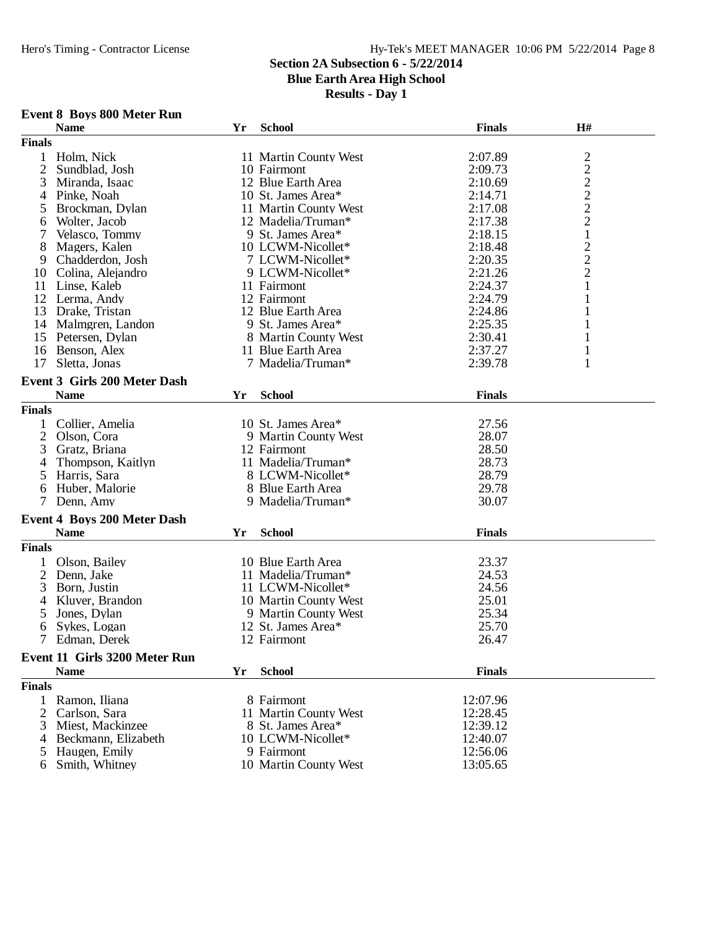**Blue Earth Area High School**

**Results - Day 1**

## **Event 8 Boys 800 Meter Run**

|                | <b>Name</b>                          | Yr | <b>School</b>         | <b>Finals</b> | H#           |
|----------------|--------------------------------------|----|-----------------------|---------------|--------------|
| <b>Finals</b>  |                                      |    |                       |               |              |
| $\mathbf{1}$   | Holm, Nick                           |    | 11 Martin County West | 2:07.89       |              |
| $\overline{2}$ | Sundblad, Josh                       |    | 10 Fairmont           | 2:09.73       |              |
| 3              | Miranda, Isaac                       |    | 12 Blue Earth Area    | 2:10.69       |              |
| 4              | Pinke, Noah                          |    | 10 St. James Area*    | 2:14.71       |              |
| 5              | Brockman, Dylan                      |    | 11 Martin County West | 2:17.08       | 2222221222   |
| 6              | Wolter, Jacob                        |    | 12 Madelia/Truman*    | 2:17.38       |              |
| 7              | Velasco, Tommy                       |    | 9 St. James Area*     | 2:18.15       |              |
| 8              | Magers, Kalen                        |    | 10 LCWM-Nicollet*     | 2:18.48       |              |
| 9              | Chadderdon, Josh                     |    | 7 LCWM-Nicollet*      | 2:20.35       |              |
|                |                                      |    |                       |               |              |
| 10             | Colina, Alejandro                    |    | 9 LCWM-Nicollet*      | 2:21.26       | $\mathbf{1}$ |
| 11             | Linse, Kaleb                         |    | 11 Fairmont           | 2:24.37       |              |
| 12             | Lerma, Andy                          |    | 12 Fairmont           | 2:24.79       | $\mathbf{1}$ |
| 13             | Drake, Tristan                       |    | 12 Blue Earth Area    | 2:24.86       | $\mathbf{1}$ |
|                | 14 Malmgren, Landon                  |    | 9 St. James Area*     | 2:25.35       | $\mathbf{1}$ |
| 15             | Petersen, Dylan                      |    | 8 Martin County West  | 2:30.41       | 1            |
| 16             | Benson, Alex                         |    | 11 Blue Earth Area    | 2:37.27       | $\mathbf{1}$ |
| 17             | Sletta, Jonas                        |    | 7 Madelia/Truman*     | 2:39.78       | $\mathbf{1}$ |
|                | <b>Event 3 Girls 200 Meter Dash</b>  |    |                       |               |              |
|                | <b>Name</b>                          | Yr | <b>School</b>         | <b>Finals</b> |              |
|                |                                      |    |                       |               |              |
| <b>Finals</b>  |                                      |    |                       |               |              |
| 1              | Collier, Amelia                      |    | 10 St. James Area*    | 27.56         |              |
| $\overline{2}$ | Olson, Cora                          |    | 9 Martin County West  | 28.07         |              |
| 3              | Gratz, Briana                        |    | 12 Fairmont           | 28.50         |              |
| 4              | Thompson, Kaitlyn                    |    | 11 Madelia/Truman*    | 28.73         |              |
| 5              | Harris, Sara                         |    | 8 LCWM-Nicollet*      | 28.79         |              |
| 6              | Huber, Malorie                       |    | 8 Blue Earth Area     | 29.78         |              |
| 7              | Denn, Amy                            |    | 9 Madelia/Truman*     | 30.07         |              |
|                | <b>Event 4 Boys 200 Meter Dash</b>   |    |                       |               |              |
|                | <b>Name</b>                          | Yr | <b>School</b>         | <b>Finals</b> |              |
| <b>Finals</b>  |                                      |    |                       |               |              |
|                |                                      |    |                       |               |              |
| 1              | Olson, Bailey                        |    | 10 Blue Earth Area    | 23.37         |              |
| $\overline{c}$ | Denn, Jake                           |    | 11 Madelia/Truman*    | 24.53         |              |
| 3              | Born, Justin                         |    | 11 LCWM-Nicollet*     | 24.56         |              |
| $\overline{4}$ | Kluver, Brandon                      |    | 10 Martin County West | 25.01         |              |
| 5              | Jones, Dylan                         |    | 9 Martin County West  | 25.34         |              |
| 6              | Sykes, Logan                         |    | 12 St. James Area*    | 25.70         |              |
|                | Edman, Derek                         |    | 12 Fairmont           | 26.47         |              |
|                | <b>Event 11 Girls 3200 Meter Run</b> |    |                       |               |              |
|                | <b>Name</b>                          | Yr | <b>School</b>         | <b>Finals</b> |              |
| <b>Finals</b>  |                                      |    |                       |               |              |
|                |                                      |    |                       |               |              |
| 1              | Ramon, Iliana                        |    | 8 Fairmont            | 12:07.96      |              |
| 2              | Carlson, Sara                        |    | 11 Martin County West | 12:28.45      |              |
| 3              | Miest, Mackinzee                     |    | 8 St. James Area*     | 12:39.12      |              |
| 4              | Beckmann, Elizabeth                  |    | 10 LCWM-Nicollet*     | 12:40.07      |              |
|                | Haugen, Emily                        |    | 9 Fairmont            | 12:56.06      |              |
| 6              | Smith, Whitney                       |    | 10 Martin County West | 13:05.65      |              |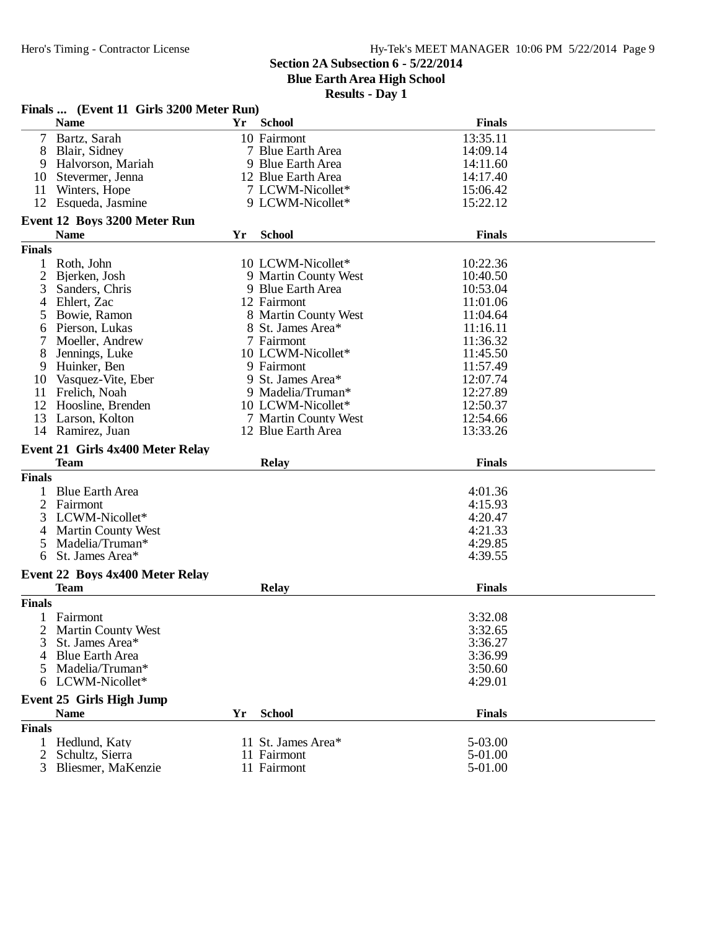**Finals ... (Event 11 Girls 3200 Meter Run)**

#### **Section 2A Subsection 6 - 5/22/2014**

**Blue Earth Area High School**

|               | <b>Name</b>                             | Yr  | <b>School</b>        | <b>Finals</b> |  |
|---------------|-----------------------------------------|-----|----------------------|---------------|--|
| $\tau$        | Bartz, Sarah                            |     | 10 Fairmont          | 13:35.11      |  |
| 8             | Blair, Sidney                           |     | 7 Blue Earth Area    | 14:09.14      |  |
| 9             | Halvorson, Mariah                       |     | 9 Blue Earth Area    | 14:11.60      |  |
| 10            | Stevermer, Jenna                        |     | 12 Blue Earth Area   | 14:17.40      |  |
| 11            | Winters, Hope                           |     | 7 LCWM-Nicollet*     | 15:06.42      |  |
|               | 12 Esqueda, Jasmine                     |     | 9 LCWM-Nicollet*     | 15:22.12      |  |
|               |                                         |     |                      |               |  |
|               | Event 12 Boys 3200 Meter Run            |     |                      |               |  |
|               | <b>Name</b>                             | Yr. | <b>School</b>        | <b>Finals</b> |  |
| <b>Finals</b> |                                         |     |                      |               |  |
| $\mathbf{1}$  | Roth, John                              |     | 10 LCWM-Nicollet*    | 10:22.36      |  |
| 2             | Bjerken, Josh                           |     | 9 Martin County West | 10:40.50      |  |
|               | Sanders, Chris                          |     |                      |               |  |
| 3             |                                         |     | 9 Blue Earth Area    | 10:53.04      |  |
| 4             | Ehlert, Zac                             |     | 12 Fairmont          | 11:01.06      |  |
| 5             | Bowie, Ramon                            |     | 8 Martin County West | 11:04.64      |  |
| 6             | Pierson, Lukas                          |     | 8 St. James Area*    | 11:16.11      |  |
| 7             | Moeller, Andrew                         |     | 7 Fairmont           | 11:36.32      |  |
| 8             | Jennings, Luke                          |     | 10 LCWM-Nicollet*    | 11:45.50      |  |
| 9             | Huinker, Ben                            |     | 9 Fairmont           | 11:57.49      |  |
| 10            | Vasquez-Vite, Eber                      |     | 9 St. James Area*    | 12:07.74      |  |
| 11            | Frelich, Noah                           |     | 9 Madelia/Truman*    | 12:27.89      |  |
| 12            | Hoosline, Brenden                       |     | 10 LCWM-Nicollet*    | 12:50.37      |  |
| 13            | Larson, Kolton                          |     | 7 Martin County West | 12:54.66      |  |
|               | 14 Ramirez, Juan                        |     | 12 Blue Earth Area   | 13:33.26      |  |
|               |                                         |     |                      |               |  |
|               | <b>Event 21 Girls 4x400 Meter Relay</b> |     |                      |               |  |
|               | <b>Team</b>                             |     | <b>Relay</b>         | <b>Finals</b> |  |
| <b>Finals</b> |                                         |     |                      |               |  |
|               | 1 Blue Earth Area                       |     |                      | 4:01.36       |  |
| 2             | Fairmont                                |     |                      | 4:15.93       |  |
| 3             | LCWM-Nicollet*                          |     |                      | 4:20.47       |  |
| 4             | <b>Martin County West</b>               |     |                      | 4:21.33       |  |
| 5             | Madelia/Truman*                         |     |                      | 4:29.85       |  |
| 6             | St. James Area*                         |     |                      | 4:39.55       |  |
|               |                                         |     |                      |               |  |
|               | <b>Event 22 Boys 4x400 Meter Relay</b>  |     |                      |               |  |
|               | <b>Team</b>                             |     | <b>Relay</b>         | <b>Finals</b> |  |
| <b>Finals</b> |                                         |     |                      |               |  |
| 1             | Fairmont                                |     |                      | 3:32.08       |  |
| 2             | <b>Martin County West</b>               |     |                      | 3:32.65       |  |
|               | 3 St. James Area*                       |     |                      | 3:36.27       |  |
|               | <b>Blue Earth Area</b>                  |     |                      | 3:36.99       |  |
|               |                                         |     |                      |               |  |
| 5             | Madelia/Truman*                         |     |                      | 3:50.60       |  |
| 6             | LCWM-Nicollet*                          |     |                      | 4:29.01       |  |
|               | <b>Event 25 Girls High Jump</b>         |     |                      |               |  |
|               | <b>Name</b>                             | Yr  | <b>School</b>        | <b>Finals</b> |  |
| <b>Finals</b> |                                         |     |                      |               |  |
|               | 1 Hedlund, Katy                         |     | 11 St. James Area*   | 5-03.00       |  |
| 2             |                                         |     | 11 Fairmont          | 5-01.00       |  |
|               | Schultz, Sierra                         |     |                      |               |  |
| 3             | Bliesmer, MaKenzie                      |     | 11 Fairmont          | 5-01.00       |  |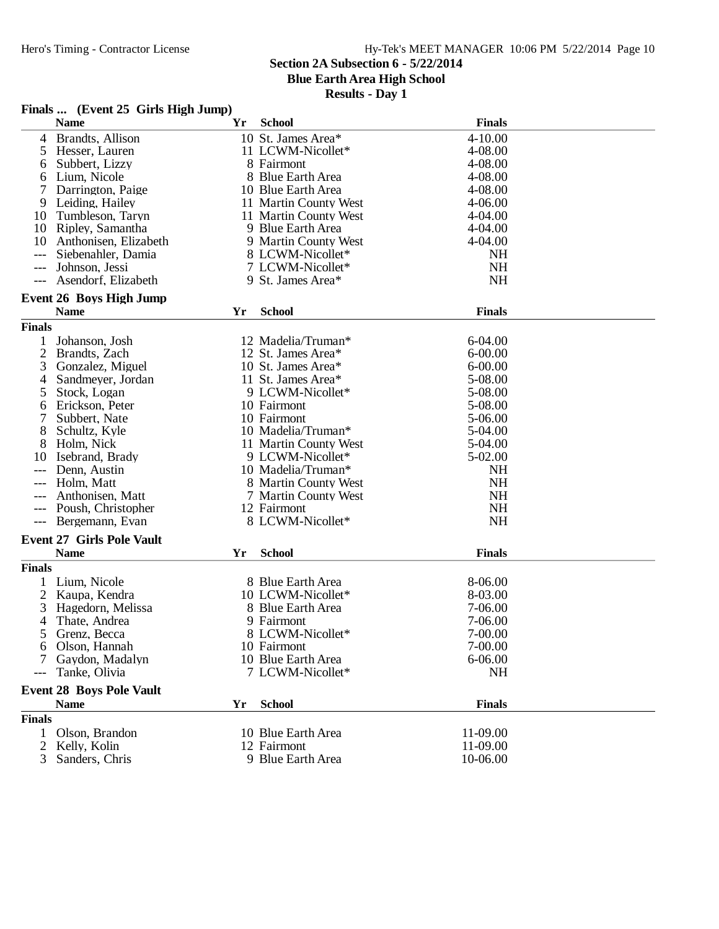## Hy-Tek's MEET MANAGER 10:06 PM 5/22/2014 Page 10

## **Section 2A Subsection 6 - 5/22/2014**

**Blue Earth Area High School**

|  |  |  | Finals  (Event 25 Girls High Jump) |  |
|--|--|--|------------------------------------|--|
|--|--|--|------------------------------------|--|

|                | <b>Name</b>                      | Yr | <b>School</b>         | <b>Finals</b> |
|----------------|----------------------------------|----|-----------------------|---------------|
| 4              | Brandts, Allison                 |    | 10 St. James Area*    | 4-10.00       |
| 5              | Hesser, Lauren                   |    | 11 LCWM-Nicollet*     | 4-08.00       |
| 6              | Subbert, Lizzy                   |    | 8 Fairmont            | 4-08.00       |
| 6              | Lium, Nicole                     |    | 8 Blue Earth Area     | 4-08.00       |
| 7              | Darrington, Paige                |    | 10 Blue Earth Area    | 4-08.00       |
| 9              | Leiding, Hailey                  |    | 11 Martin County West | $4 - 06.00$   |
| 10             | Tumbleson, Taryn                 |    | 11 Martin County West | 4-04.00       |
| 10             | Ripley, Samantha                 |    | 9 Blue Earth Area     | 4-04.00       |
| 10             | Anthonisen, Elizabeth            |    | 9 Martin County West  | $4 - 04.00$   |
| ---            | Siebenahler, Damia               |    | 8 LCWM-Nicollet*      | <b>NH</b>     |
|                | Johnson, Jessi                   |    | 7 LCWM-Nicollet*      | <b>NH</b>     |
|                |                                  |    |                       | <b>NH</b>     |
|                | Asendorf, Elizabeth              |    | 9 St. James Area*     |               |
|                | <b>Event 26 Boys High Jump</b>   |    |                       |               |
|                | <b>Name</b>                      | Yr | <b>School</b>         | <b>Finals</b> |
| <b>Finals</b>  |                                  |    |                       |               |
| 1              | Johanson, Josh                   |    | 12 Madelia/Truman*    | $6-04.00$     |
| $\overline{2}$ | Brandts, Zach                    |    | 12 St. James Area*    | $6 - 00.00$   |
| 3              | Gonzalez, Miguel                 |    | 10 St. James Area*    | $6 - 00.00$   |
| 4              | Sandmeyer, Jordan                |    | 11 St. James Area*    | 5-08.00       |
| 5              | Stock, Logan                     |    | 9 LCWM-Nicollet*      | 5-08.00       |
|                |                                  |    | 10 Fairmont           | 5-08.00       |
| 6              | Erickson, Peter                  |    |                       |               |
| 7              | Subbert, Nate                    |    | 10 Fairmont           | 5-06.00       |
| 8              | Schultz, Kyle                    |    | 10 Madelia/Truman*    | 5-04.00       |
| 8              | Holm, Nick                       |    | 11 Martin County West | 5-04.00       |
| 10             | Isebrand, Brady                  |    | 9 LCWM-Nicollet*      | 5-02.00       |
|                | Denn, Austin                     |    | 10 Madelia/Truman*    | <b>NH</b>     |
| ---            | Holm, Matt                       |    | 8 Martin County West  | <b>NH</b>     |
|                | Anthonisen, Matt                 |    | 7 Martin County West  | <b>NH</b>     |
| $---$          | Poush, Christopher               |    | 12 Fairmont           | <b>NH</b>     |
| ---            | Bergemann, Evan                  |    | 8 LCWM-Nicollet*      | <b>NH</b>     |
|                | <b>Event 27 Girls Pole Vault</b> |    |                       |               |
|                | <b>Name</b>                      | Yr | <b>School</b>         | <b>Finals</b> |
| <b>Finals</b>  |                                  |    |                       |               |
|                |                                  |    |                       |               |
|                | Lium, Nicole                     |    | 8 Blue Earth Area     | 8-06.00       |
| 2              | Kaupa, Kendra                    |    | 10 LCWM-Nicollet*     | 8-03.00       |
| 3              | Hagedorn, Melissa                |    | 8 Blue Earth Area     | 7-06.00       |
| 4              | Thate, Andrea                    |    | 9 Fairmont            | 7-06.00       |
| 5              | Grenz, Becca                     |    | 8 LCWM-Nicollet*      | 7-00.00       |
| 6              | Olson, Hannah                    |    | 10 Fairmont           | 7-00.00       |
| 7              | Gaydon, Madalyn                  |    | 10 Blue Earth Area    | 6-06.00       |
|                | Tanke, Olivia                    |    | 7 LCWM-Nicollet*      | <b>NH</b>     |
|                | <b>Event 28 Boys Pole Vault</b>  |    |                       |               |
|                | <b>Name</b>                      | Yr | <b>School</b>         | <b>Finals</b> |
| <b>Finals</b>  |                                  |    |                       |               |
|                |                                  |    |                       |               |
| 1              | Olson, Brandon                   |    | 10 Blue Earth Area    | 11-09.00      |
| 2              | Kelly, Kolin                     |    | 12 Fairmont           | 11-09.00      |
| 3              | Sanders, Chris                   |    | 9 Blue Earth Area     | 10-06.00      |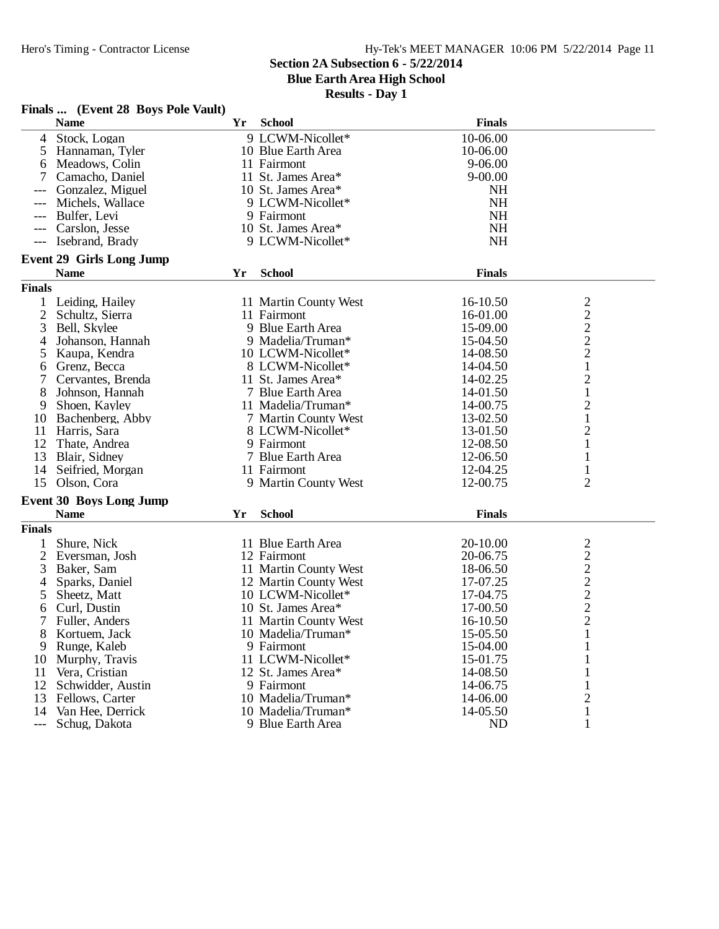# **Section 2A Subsection 6 - 5/22/2014**

**Blue Earth Area High School**

|                | Finals  (Event 28 Boys Pole Vault)             |    |                       |               |                |
|----------------|------------------------------------------------|----|-----------------------|---------------|----------------|
|                | <b>Name</b>                                    | Yr | <b>School</b>         | <b>Finals</b> |                |
| 4              | Stock, Logan                                   |    | 9 LCWM-Nicollet*      | 10-06.00      |                |
| 5              | Hannaman, Tyler                                |    | 10 Blue Earth Area    | 10-06.00      |                |
| 6              | Meadows, Colin                                 |    | 11 Fairmont           | 9-06.00       |                |
|                | Camacho, Daniel                                |    | 11 St. James Area*    | $9 - 00.00$   |                |
|                | Gonzalez, Miguel                               |    | 10 St. James Area*    | NH            |                |
|                | Michels, Wallace                               |    | 9 LCWM-Nicollet*      | <b>NH</b>     |                |
| $---$          | Bulfer, Levi                                   |    | 9 Fairmont            | <b>NH</b>     |                |
|                | Carslon, Jesse                                 |    | 10 St. James Area*    | <b>NH</b>     |                |
| $---$          | Isebrand, Brady                                |    | 9 LCWM-Nicollet*      | <b>NH</b>     |                |
|                |                                                |    |                       |               |                |
|                | <b>Event 29 Girls Long Jump</b><br><b>Name</b> | Yr | <b>School</b>         | <b>Finals</b> |                |
| <b>Finals</b>  |                                                |    |                       |               |                |
|                |                                                |    |                       |               |                |
| 1              | Leiding, Hailey                                |    | 11 Martin County West | 16-10.50      | 2              |
| 2              | Schultz, Sierra                                |    | 11 Fairmont           | 16-01.00      | $\overline{c}$ |
| 3              | Bell, Skylee                                   |    | 9 Blue Earth Area     | 15-09.00      | $\frac{2}{2}$  |
| 4              | Johanson, Hannah                               |    | 9 Madelia/Truman*     | 15-04.50      |                |
| 5              | Kaupa, Kendra                                  |    | 10 LCWM-Nicollet*     | 14-08.50      |                |
| 6              | Grenz, Becca                                   |    | 8 LCWM-Nicollet*      | 14-04.50      | 1              |
| 7              | Cervantes, Brenda                              |    | 11 St. James Area*    | 14-02.25      | $\mathbf{2}$   |
| 8              | Johnson, Hannah                                |    | 7 Blue Earth Area     | 14-01.50      | 1              |
| 9              | Shoen, Kayley                                  |    | 11 Madelia/Truman*    | 14-00.75      | $\overline{c}$ |
| 10             | Bachenberg, Abby                               |    | 7 Martin County West  | 13-02.50      | $\mathbf{1}$   |
| 11             | Harris, Sara                                   |    | 8 LCWM-Nicollet*      | 13-01.50      | $\mathbf{2}$   |
| 12             | Thate, Andrea                                  |    | 9 Fairmont            | 12-08.50      | 1              |
| 13             | Blair, Sidney                                  |    | 7 Blue Earth Area     | 12-06.50      | 1              |
| 14             | Seifried, Morgan                               |    | 11 Fairmont           | 12-04.25      |                |
| 15             | Olson, Cora                                    |    | 9 Martin County West  | 12-00.75      | $\overline{2}$ |
|                | <b>Event 30 Boys Long Jump</b>                 |    |                       |               |                |
|                | <b>Name</b>                                    | Yr | <b>School</b>         | <b>Finals</b> |                |
| <b>Finals</b>  |                                                |    |                       |               |                |
| 1              | Shure, Nick                                    |    | 11 Blue Earth Area    | 20-10.00      | 2              |
| $\overline{2}$ | Eversman, Josh                                 |    | 12 Fairmont           | 20-06.75      | $\overline{c}$ |
| 3              | Baker, Sam                                     |    | 11 Martin County West | 18-06.50      | $\overline{c}$ |
| 4              | Sparks, Daniel                                 |    | 12 Martin County West | 17-07.25      | $\overline{c}$ |
| 5              | Sheetz, Matt                                   |    | 10 LCWM-Nicollet*     | 17-04.75      |                |
| 6              | Curl, Dustin                                   |    | 10 St. James Area*    | 17-00.50      | $\frac{2}{2}$  |
| 7              | Fuller, Anders                                 |    | 11 Martin County West | 16-10.50      | $\overline{2}$ |
| 8              | Kortuem, Jack                                  |    | 10 Madelia/Truman*    | 15-05.50      | 1              |
| 9              | Runge, Kaleb                                   |    | 9 Fairmont            | 15-04.00      |                |
| 10             | Murphy, Travis                                 |    | 11 LCWM-Nicollet*     | 15-01.75      |                |
| 11             | Vera, Cristian                                 |    | 12 St. James Area*    | 14-08.50      | ı              |
| 12             | Schwidder, Austin                              |    | 9 Fairmont            | 14-06.75      | 1              |
| 13             | Fellows, Carter                                |    | 10 Madelia/Truman*    | 14-06.00      | $\overline{c}$ |
| 14             | Van Hee, Derrick                               |    | 10 Madelia/Truman*    | 14-05.50      | 1              |
| $---$          | Schug, Dakota                                  |    | 9 Blue Earth Area     | ND            | 1              |
|                |                                                |    |                       |               |                |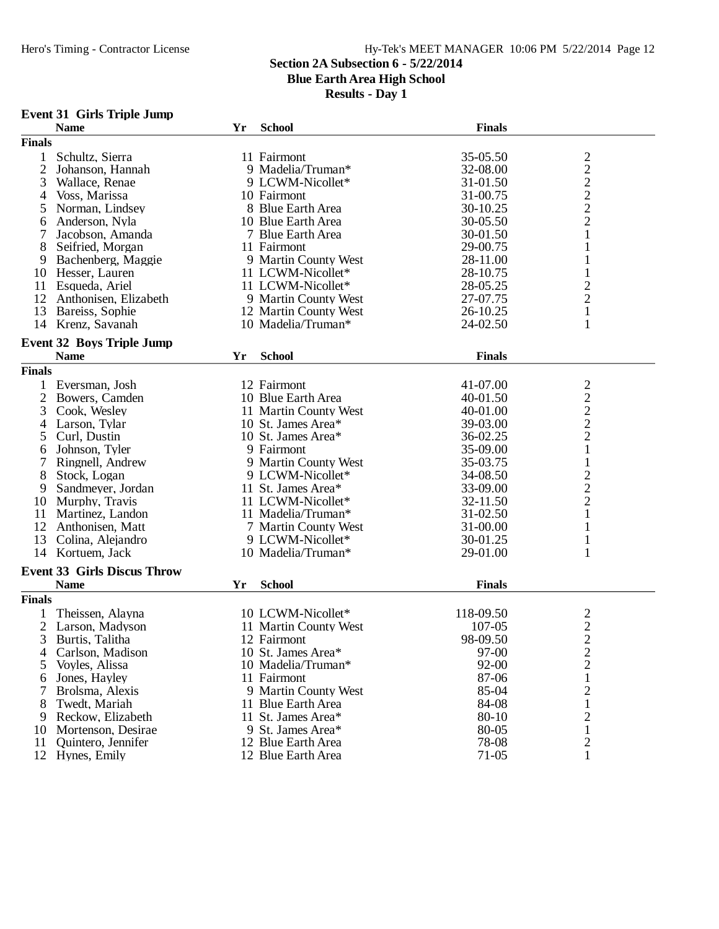## **Section 2A Subsection 6 - 5/22/2014**

**Blue Earth Area High School**

**Results - Day 1**

# **Event 31 Girls Triple Jump**

|                | <b>Name</b>                        | Yr | <b>School</b>         | <b>Finals</b> |                                |  |  |
|----------------|------------------------------------|----|-----------------------|---------------|--------------------------------|--|--|
| <b>Finals</b>  |                                    |    |                       |               |                                |  |  |
| 1              | Schultz, Sierra                    |    | 11 Fairmont           | 35-05.50      | $\overline{c}$                 |  |  |
| $\overline{2}$ | Johanson, Hannah                   |    | 9 Madelia/Truman*     | 32-08.00      | $\overline{c}$                 |  |  |
| 3              | Wallace, Renae                     |    | 9 LCWM-Nicollet*      | 31-01.50      | $\overline{c}$                 |  |  |
| 4              | Voss, Marissa                      |    | 10 Fairmont           | 31-00.75      | $\overline{c}$                 |  |  |
| 5              | Norman, Lindsey                    |    | 8 Blue Earth Area     | 30-10.25      | $\overline{c}$                 |  |  |
|                | Anderson, Nyla                     |    | 10 Blue Earth Area    | 30-05.50      | $\overline{c}$                 |  |  |
| 6              |                                    |    |                       |               |                                |  |  |
|                | Jacobson, Amanda                   |    | 7 Blue Earth Area     | 30-01.50      | $\mathbf{1}$                   |  |  |
| 8              | Seifried, Morgan                   |    | 11 Fairmont           | 29-00.75      | 1                              |  |  |
| 9              | Bachenberg, Maggie                 |    | 9 Martin County West  | 28-11.00      |                                |  |  |
| 10             | Hesser, Lauren                     |    | 11 LCWM-Nicollet*     | 28-10.75      | $\mathbf{1}$                   |  |  |
| 11             | Esqueda, Ariel                     |    | 11 LCWM-Nicollet*     | 28-05.25      | $\overline{c}$                 |  |  |
| 12             | Anthonisen, Elizabeth              |    | 9 Martin County West  | 27-07.75      | $\overline{c}$                 |  |  |
| 13             | Bareiss, Sophie                    |    | 12 Martin County West | 26-10.25      | $\mathbf{1}$                   |  |  |
|                | 14 Krenz, Savanah                  |    | 10 Madelia/Truman*    | 24-02.50      | 1                              |  |  |
|                | <b>Event 32 Boys Triple Jump</b>   |    |                       |               |                                |  |  |
|                | <b>Name</b>                        |    |                       | <b>Finals</b> |                                |  |  |
|                |                                    | Yr | <b>School</b>         |               |                                |  |  |
| <b>Finals</b>  |                                    |    |                       |               |                                |  |  |
|                | Eversman, Josh                     |    | 12 Fairmont           | 41-07.00      |                                |  |  |
| 2              | Bowers, Camden                     |    | 10 Blue Earth Area    | 40-01.50      | $\frac{2}{2}$<br>$\frac{2}{2}$ |  |  |
| 3              | Cook, Wesley                       |    | 11 Martin County West | 40-01.00      |                                |  |  |
| 4              | Larson, Tylar                      |    | 10 St. James Area*    | 39-03.00      |                                |  |  |
| 5              | Curl, Dustin                       |    | 10 St. James Area*    | 36-02.25      |                                |  |  |
| 6              | Johnson, Tyler                     |    | 9 Fairmont            | 35-09.00      | $\mathbf{1}$                   |  |  |
|                | Ringnell, Andrew                   |    | 9 Martin County West  | 35-03.75      | $\mathbf{1}$                   |  |  |
| 8              | Stock, Logan                       |    | 9 LCWM-Nicollet*      | 34-08.50      |                                |  |  |
| 9              | Sandmeyer, Jordan                  |    | 11 St. James Area*    | 33-09.00      | $\frac{2}{2}$                  |  |  |
| 10             | Murphy, Travis                     |    | 11 LCWM-Nicollet*     | 32-11.50      | $\overline{c}$                 |  |  |
| 11             | Martinez, Landon                   |    | 11 Madelia/Truman*    | 31-02.50      | $\mathbf{1}$                   |  |  |
| 12             | Anthonisen, Matt                   |    | 7 Martin County West  | 31-00.00      |                                |  |  |
| 13             | Colina, Alejandro                  |    | 9 LCWM-Nicollet*      | 30-01.25      | 1                              |  |  |
| 14             | Kortuem, Jack                      |    | 10 Madelia/Truman*    | 29-01.00      | 1                              |  |  |
|                |                                    |    |                       |               |                                |  |  |
|                | <b>Event 33 Girls Discus Throw</b> |    |                       |               |                                |  |  |
|                | <b>Name</b>                        | Yr | <b>School</b>         | <b>Finals</b> |                                |  |  |
| <b>Finals</b>  |                                    |    |                       |               |                                |  |  |
|                | Theissen, Alayna                   |    | 10 LCWM-Nicollet*     | 118-09.50     | $\overline{\mathbf{c}}$        |  |  |
| $\overline{2}$ | Larson, Madyson                    |    | 11 Martin County West | 107-05        | $\overline{c}$                 |  |  |
| 3              | Burtis, Talitha                    |    | 12 Fairmont           | 98-09.50      | $\overline{2}$                 |  |  |
| 4              | Carlson, Madison                   |    | 10 St. James Area*    | 97-00         | $\overline{\mathbf{c}}$        |  |  |
| 5              | Voyles, Alissa                     |    | 10 Madelia/Truman*    | 92-00         | $\overline{c}$                 |  |  |
| 6              | Jones, Hayley                      |    | 11 Fairmont           | 87-06         | $\mathbf{1}$                   |  |  |
| 7              | Brolsma, Alexis                    |    | 9 Martin County West  | 85-04         |                                |  |  |
|                |                                    |    | 11 Blue Earth Area    |               | $\overline{c}$                 |  |  |
| 8              | Twedt, Mariah                      |    |                       | 84-08         | 1                              |  |  |
| 9              | Reckow, Elizabeth                  |    | 11 St. James Area*    | $80 - 10$     | 2                              |  |  |
| 10             | Mortenson, Desirae                 |    | 9 St. James Area*     | 80-05         | 1                              |  |  |
| 11             | Quintero, Jennifer                 |    | 12 Blue Earth Area    | 78-08         | 2                              |  |  |
| 12             | Hynes, Emily                       |    | 12 Blue Earth Area    | $71-05$       | 1                              |  |  |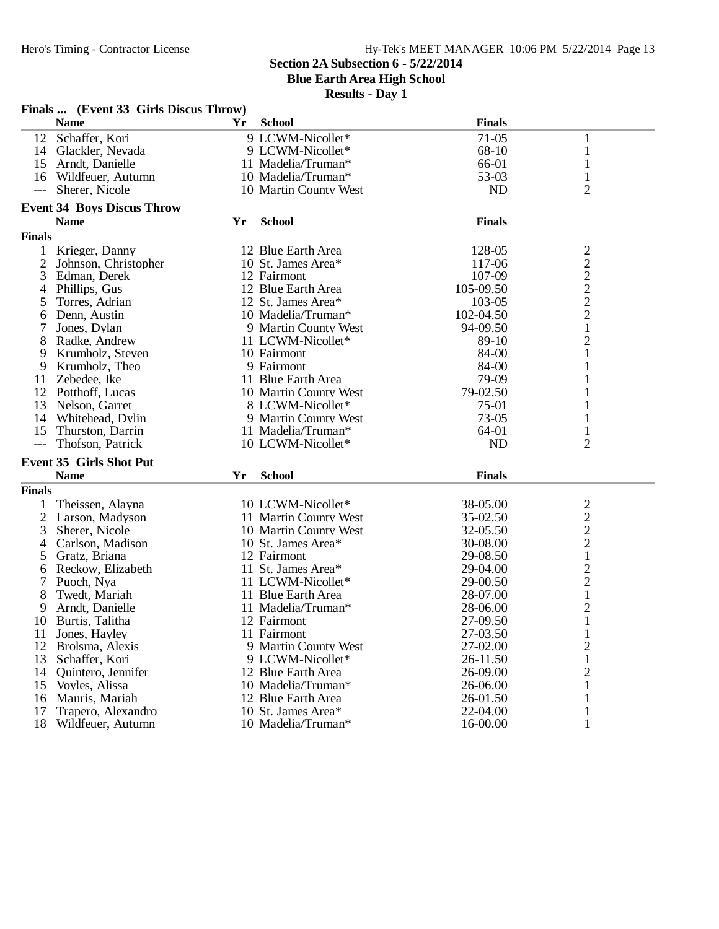**Blue Earth Area High School**

| Finals  (Event 33 Girls Discus Throw) |                                   |    |                       |               |                                                 |  |  |  |  |  |
|---------------------------------------|-----------------------------------|----|-----------------------|---------------|-------------------------------------------------|--|--|--|--|--|
|                                       | <b>Name</b>                       | Yr | <b>School</b>         | <b>Finals</b> |                                                 |  |  |  |  |  |
| 12                                    | Schaffer, Kori                    |    | 9 LCWM-Nicollet*      | $71-05$       | 1                                               |  |  |  |  |  |
|                                       | 14 Glackler, Nevada               |    | 9 LCWM-Nicollet*      | 68-10         | $\mathbf{1}$                                    |  |  |  |  |  |
|                                       | 15 Arndt, Danielle                |    | 11 Madelia/Truman*    | 66-01         | 1                                               |  |  |  |  |  |
| 16                                    | Wildfeuer, Autumn                 |    | 10 Madelia/Truman*    | 53-03         | 1                                               |  |  |  |  |  |
| $---$                                 | Sherer, Nicole                    |    | 10 Martin County West | <b>ND</b>     | 2                                               |  |  |  |  |  |
|                                       |                                   |    |                       |               |                                                 |  |  |  |  |  |
|                                       | <b>Event 34 Boys Discus Throw</b> |    |                       |               |                                                 |  |  |  |  |  |
|                                       | <b>Name</b>                       | Yr | <b>School</b>         | <b>Finals</b> |                                                 |  |  |  |  |  |
| <b>Finals</b>                         |                                   |    |                       |               |                                                 |  |  |  |  |  |
| 1                                     | Krieger, Danny                    |    | 12 Blue Earth Area    | 128-05        | $\begin{array}{c} 2 \\ 2 \\ 2 \\ 2 \end{array}$ |  |  |  |  |  |
| $\overline{2}$                        | Johnson, Christopher              |    | 10 St. James Area*    | 117-06        |                                                 |  |  |  |  |  |
| 3                                     | Edman, Derek                      |    | 12 Fairmont           | 107-09        |                                                 |  |  |  |  |  |
| 4                                     | Phillips, Gus                     |    | 12 Blue Earth Area    | 105-09.50     |                                                 |  |  |  |  |  |
| 5                                     | Torres, Adrian                    |    | 12 St. James Area*    | 103-05        |                                                 |  |  |  |  |  |
| 6                                     | Denn, Austin                      |    | 10 Madelia/Truman*    | 102-04.50     | $\overline{c}$                                  |  |  |  |  |  |
| 7                                     | Jones, Dylan                      |    | 9 Martin County West  | 94-09.50      | $\mathbf{1}$                                    |  |  |  |  |  |
| 8                                     | Radke, Andrew                     |    | 11 LCWM-Nicollet*     | 89-10         | $\mathbf{2}$                                    |  |  |  |  |  |
| 9                                     | Krumholz, Steven                  |    | 10 Fairmont           | 84-00         | $\mathbf{1}$                                    |  |  |  |  |  |
| 9                                     | Krumholz, Theo                    |    | 9 Fairmont            | 84-00         | 1                                               |  |  |  |  |  |
| 11                                    | Zebedee, Ike                      |    | 11 Blue Earth Area    | 79-09         | 1                                               |  |  |  |  |  |
| 12                                    | Potthoff, Lucas                   |    | 10 Martin County West | 79-02.50      | 1                                               |  |  |  |  |  |
| 13                                    | Nelson, Garret                    |    | 8 LCWM-Nicollet*      | 75-01         | 1                                               |  |  |  |  |  |
| 14                                    | Whitehead, Dylin                  |    | 9 Martin County West  | $73-05$       | 1                                               |  |  |  |  |  |
| 15                                    | Thurston, Darrin                  |    | 11 Madelia/Truman*    | 64-01         | 1                                               |  |  |  |  |  |
| $\qquad \qquad - -$                   | Thofson, Patrick                  |    | 10 LCWM-Nicollet*     | <b>ND</b>     | $\overline{2}$                                  |  |  |  |  |  |
|                                       | <b>Event 35 Girls Shot Put</b>    |    |                       |               |                                                 |  |  |  |  |  |
|                                       | <b>Name</b>                       | Yr | <b>School</b>         | <b>Finals</b> |                                                 |  |  |  |  |  |
| <b>Finals</b>                         |                                   |    |                       |               |                                                 |  |  |  |  |  |
|                                       | Theissen, Alayna                  |    | 10 LCWM-Nicollet*     | 38-05.00      |                                                 |  |  |  |  |  |
| $\overline{2}$                        | Larson, Madyson                   |    | 11 Martin County West | 35-02.50      |                                                 |  |  |  |  |  |
| 3                                     | Sherer, Nicole                    |    | 10 Martin County West | 32-05.50      | $\frac{2}{2}$ $\frac{2}{2}$ $\frac{2}{1}$       |  |  |  |  |  |
| 4                                     | Carlson, Madison                  |    | 10 St. James Area*    | 30-08.00      |                                                 |  |  |  |  |  |
| 5                                     | Gratz, Briana                     |    | 12 Fairmont           | 29-08.50      |                                                 |  |  |  |  |  |
| 6                                     | Reckow, Elizabeth                 |    | 11 St. James Area*    | 29-04.00      | $\frac{2}{2}$                                   |  |  |  |  |  |
| 7                                     | Puoch, Nya                        |    | 11 LCWM-Nicollet*     | 29-00.50      |                                                 |  |  |  |  |  |
| 8                                     | Twedt, Mariah                     |    | 11 Blue Earth Area    | 28-07.00      | $\mathbf{1}$                                    |  |  |  |  |  |
| 9                                     | Arndt, Danielle                   |    | 11 Madelia/Truman*    | 28-06.00      | $\overline{c}$                                  |  |  |  |  |  |
| 10                                    | Burtis, Talitha                   |    | 12 Fairmont           | 27-09.50      | $\mathbf{1}$                                    |  |  |  |  |  |
| 11                                    | Jones, Hayley                     |    | 11 Fairmont           | 27-03.50      | 1                                               |  |  |  |  |  |
| 12                                    | Brolsma, Alexis                   |    | 9 Martin County West  | 27-02.00      | $\overline{c}$                                  |  |  |  |  |  |
| 13                                    | Schaffer, Kori                    |    | 9 LCWM-Nicollet*      | 26-11.50      | 1                                               |  |  |  |  |  |
| 14                                    | Quintero, Jennifer                |    | 12 Blue Earth Area    | 26-09.00      | $\overline{c}$                                  |  |  |  |  |  |
| 15                                    | Voyles, Alissa                    |    | 10 Madelia/Truman*    | 26-06.00      | 1                                               |  |  |  |  |  |
| 16                                    | Mauris, Mariah                    |    | 12 Blue Earth Area    | 26-01.50      |                                                 |  |  |  |  |  |
| 17                                    | Trapero, Alexandro                |    | 10 St. James Area*    | 22-04.00      |                                                 |  |  |  |  |  |
| 18                                    | Wildfeuer, Autumn                 |    | 10 Madelia/Truman*    | 16-00.00      | 1                                               |  |  |  |  |  |